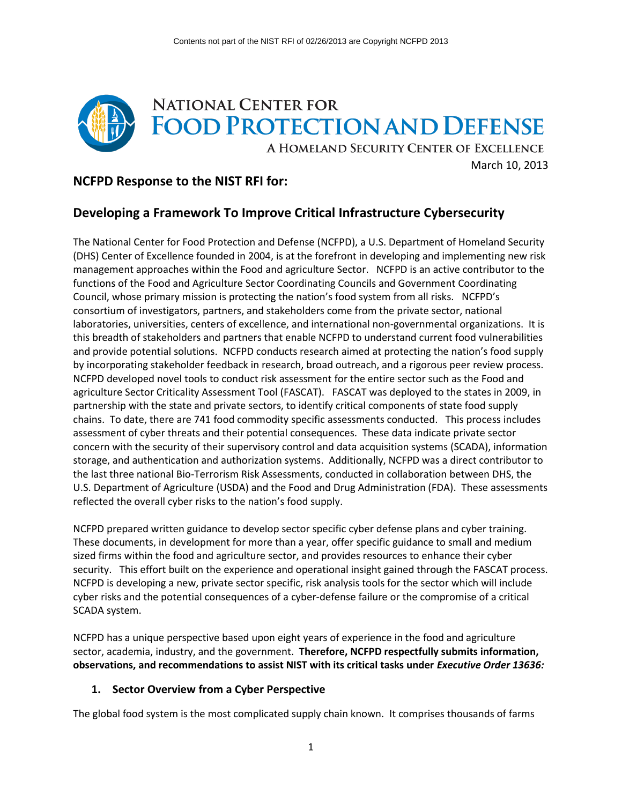

March 10, 2013

# **NCFPD Response to the NIST RFI for:**

# **Developing a Framework To Improve Critical Infrastructure Cybersecurity**

The National Center for Food Protection and Defense (NCFPD), a U.S. Department of Homeland Security (DHS) Center of Excellence founded in 2004, is at the forefront in developing and implementing new risk management approaches within the Food and agriculture Sector. NCFPD is an active contributor to the functions of the Food and Agriculture Sector Coordinating Councils and Government Coordinating Council, whose primary mission is protecting the nation's food system from all risks. NCFPD's consortium of investigators, partners, and stakeholders come from the private sector, national laboratories, universities, centers of excellence, and international non-governmental organizations. It is this breadth of stakeholders and partners that enable NCFPD to understand current food vulnerabilities and provide potential solutions. NCFPD conducts research aimed at protecting the nation's food supply by incorporating stakeholder feedback in research, broad outreach, and a rigorous peer review process. NCFPD developed novel tools to conduct risk assessment for the entire sector such as the Food and agriculture Sector Criticality Assessment Tool (FASCAT). FASCAT was deployed to the states in 2009, in partnership with the state and private sectors, to identify critical components of state food supply chains. To date, there are 741 food commodity specific assessments conducted. This process includes assessment of cyber threats and their potential consequences. These data indicate private sector concern with the security of their supervisory control and data acquisition systems (SCADA), information storage, and authentication and authorization systems. Additionally, NCFPD was a direct contributor to the last three national Bio-Terrorism Risk Assessments, conducted in collaboration between DHS, the U.S. Department of Agriculture (USDA) and the Food and Drug Administration (FDA). These assessments reflected the overall cyber risks to the nation's food supply.

NCFPD prepared written guidance to develop sector specific cyber defense plans and cyber training. These documents, in development for more than a year, offer specific guidance to small and medium sized firms within the food and agriculture sector, and provides resources to enhance their cyber security. This effort built on the experience and operational insight gained through the FASCAT process. NCFPD is developing a new, private sector specific, risk analysis tools for the sector which will include cyber risks and the potential consequences of a cyber-defense failure or the compromise of a critical SCADA system.

NCFPD has a unique perspective based upon eight years of experience in the food and agriculture sector, academia, industry, and the government. **Therefore, NCFPD respectfully submits information, observations, and recommendations to assist NIST with its critical tasks under** *Executive Order 13636:*

### **1. Sector Overview from a Cyber Perspective**

The global food system is the most complicated supply chain known. It comprises thousands of farms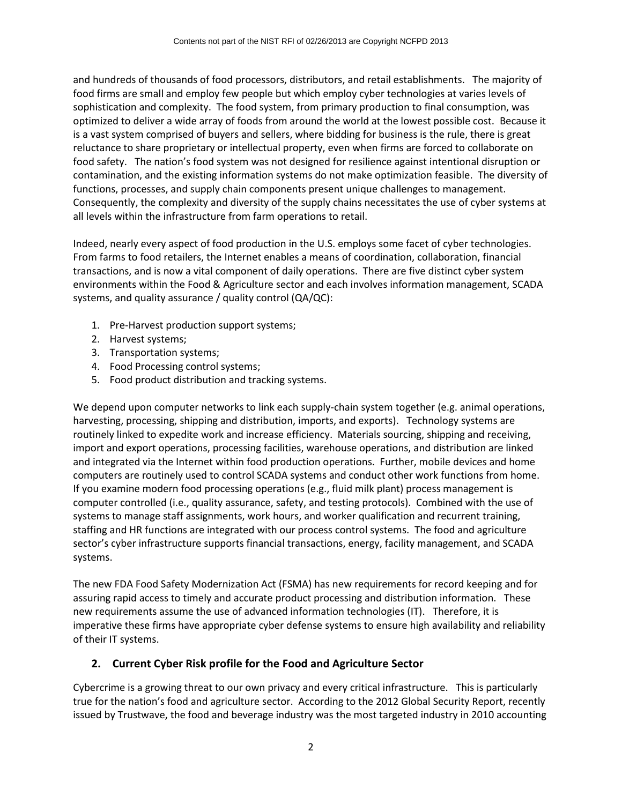and hundreds of thousands of food processors, distributors, and retail establishments. The majority of food firms are small and employ few people but which employ cyber technologies at varies levels of sophistication and complexity. The food system, from primary production to final consumption, was optimized to deliver a wide array of foods from around the world at the lowest possible cost. Because it is a vast system comprised of buyers and sellers, where bidding for business is the rule, there is great reluctance to share proprietary or intellectual property, even when firms are forced to collaborate on food safety. The nation's food system was not designed for resilience against intentional disruption or contamination, and the existing information systems do not make optimization feasible. The diversity of functions, processes, and supply chain components present unique challenges to management. Consequently, the complexity and diversity of the supply chains necessitates the use of cyber systems at all levels within the infrastructure from farm operations to retail.

Indeed, nearly every aspect of food production in the U.S. employs some facet of cyber technologies. From farms to food retailers, the Internet enables a means of coordination, collaboration, financial transactions, and is now a vital component of daily operations. There are five distinct cyber system environments within the Food & Agriculture sector and each involves information management, SCADA systems, and quality assurance / quality control (QA/QC):

- 1. Pre-Harvest production support systems;
- 2. Harvest systems;
- 3. Transportation systems;
- 4. Food Processing control systems;
- 5. Food product distribution and tracking systems.

We depend upon computer networks to link each supply-chain system together (e.g. animal operations, harvesting, processing, shipping and distribution, imports, and exports). Technology systems are routinely linked to expedite work and increase efficiency. Materials sourcing, shipping and receiving, import and export operations, processing facilities, warehouse operations, and distribution are linked and integrated via the Internet within food production operations. Further, mobile devices and home computers are routinely used to control SCADA systems and conduct other work functions from home. If you examine modern food processing operations (e.g., fluid milk plant) process management is computer controlled (i.e., quality assurance, safety, and testing protocols). Combined with the use of systems to manage staff assignments, work hours, and worker qualification and recurrent training, staffing and HR functions are integrated with our process control systems. The food and agriculture sector's cyber infrastructure supports financial transactions, energy, facility management, and SCADA systems.

The new FDA Food Safety Modernization Act (FSMA) has new requirements for record keeping and for assuring rapid access to timely and accurate product processing and distribution information. These new requirements assume the use of advanced information technologies (IT). Therefore, it is imperative these firms have appropriate cyber defense systems to ensure high availability and reliability of their IT systems.

## **2. Current Cyber Risk profile for the Food and Agriculture Sector**

Cybercrime is a growing threat to our own privacy and every critical infrastructure. This is particularly true for the nation's food and agriculture sector. According to the 2012 Global Security Report, recently issued by Trustwave, the food and beverage industry was the most targeted industry in 2010 accounting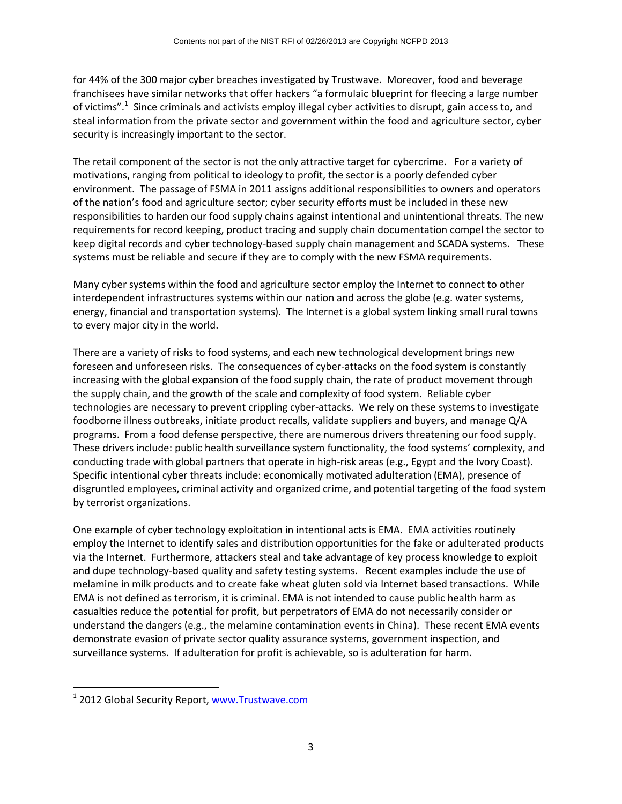for 44% of the 300 major cyber breaches investigated by Trustwave. Moreover, food and beverage franchisees have similar networks that offer hackers "a formulaic blueprint for fleecing a large number of victims".<sup>1</sup> Since criminals and activists employ illegal cyber activities to disrupt, gain access to, and steal information from the private sector and government within the food and agriculture sector, cyber security is increasingly important to the sector.

The retail component of the sector is not the only attractive target for cybercrime. For a variety of motivations, ranging from political to ideology to profit, the sector is a poorly defended cyber environment. The passage of FSMA in 2011 assigns additional responsibilities to owners and operators of the nation's food and agriculture sector; cyber security efforts must be included in these new responsibilities to harden our food supply chains against intentional and unintentional threats. The new requirements for record keeping, product tracing and supply chain documentation compel the sector to keep digital records and cyber technology-based supply chain management and SCADA systems. These systems must be reliable and secure if they are to comply with the new FSMA requirements.

Many cyber systems within the food and agriculture sector employ the Internet to connect to other interdependent infrastructures systems within our nation and across the globe (e.g. water systems, energy, financial and transportation systems). The Internet is a global system linking small rural towns to every major city in the world.

There are a variety of risks to food systems, and each new technological development brings new foreseen and unforeseen risks. The consequences of cyber-attacks on the food system is constantly increasing with the global expansion of the food supply chain, the rate of product movement through the supply chain, and the growth of the scale and complexity of food system. Reliable cyber technologies are necessary to prevent crippling cyber-attacks. We rely on these systems to investigate foodborne illness outbreaks, initiate product recalls, validate suppliers and buyers, and manage Q/A programs. From a food defense perspective, there are numerous drivers threatening our food supply. These drivers include: public health surveillance system functionality, the food systems' complexity, and conducting trade with global partners that operate in high-risk areas (e.g., Egypt and the Ivory Coast). Specific intentional cyber threats include: economically motivated adulteration (EMA), presence of disgruntled employees, criminal activity and organized crime, and potential targeting of the food system by terrorist organizations.

One example of cyber technology exploitation in intentional acts is EMA. EMA activities routinely employ the Internet to identify sales and distribution opportunities for the fake or adulterated products via the Internet. Furthermore, attackers steal and take advantage of key process knowledge to exploit and dupe technology-based quality and safety testing systems. Recent examples include the use of melamine in milk products and to create fake wheat gluten sold via Internet based transactions. While EMA is not defined as terrorism, it is criminal. EMA is not intended to cause public health harm as casualties reduce the potential for profit, but perpetrators of EMA do not necessarily consider or understand the dangers (e.g., the melamine contamination events in China). These recent EMA events demonstrate evasion of private sector quality assurance systems, government inspection, and surveillance systems. If adulteration for profit is achievable, so is adulteration for harm.

 $\overline{\phantom{a}}$ 

<sup>&</sup>lt;sup>1</sup> 2012 Global Security Report, [www.Trustwave.com](http://www.trustwave.com/)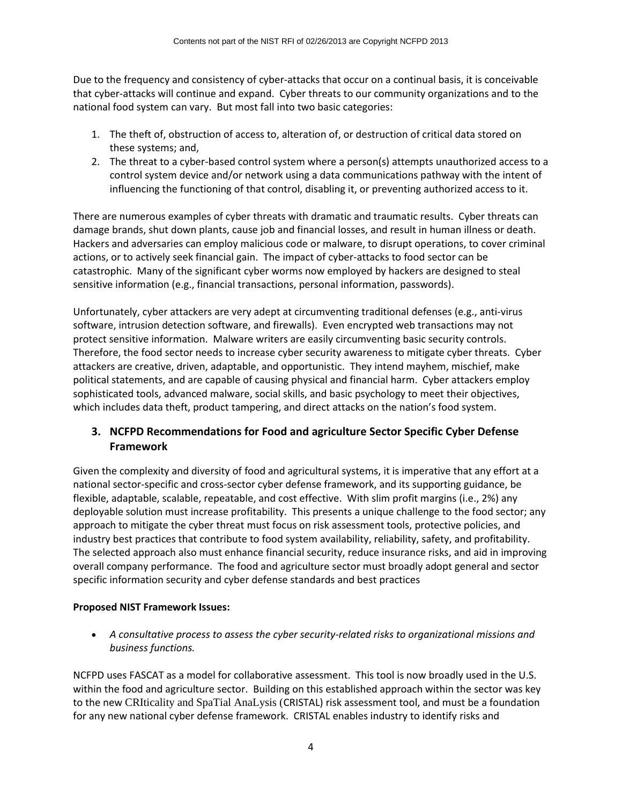Due to the frequency and consistency of cyber-attacks that occur on a continual basis, it is conceivable that cyber-attacks will continue and expand. Cyber threats to our community organizations and to the national food system can vary. But most fall into two basic categories:

- 1. The theft of, obstruction of access to, alteration of, or destruction of critical data stored on these systems; and,
- 2. The threat to a cyber-based control system where a person(s) attempts unauthorized access to a control system device and/or network using a data communications pathway with the intent of influencing the functioning of that control, disabling it, or preventing authorized access to it.

There are numerous examples of cyber threats with dramatic and traumatic results. Cyber threats can damage brands, shut down plants, cause job and financial losses, and result in human illness or death. Hackers and adversaries can employ malicious code or malware, to disrupt operations, to cover criminal actions, or to actively seek financial gain. The impact of cyber-attacks to food sector can be catastrophic. Many of the significant cyber worms now employed by hackers are designed to steal sensitive information (e.g., financial transactions, personal information, passwords).

Unfortunately, cyber attackers are very adept at circumventing traditional defenses (e.g., anti-virus software, intrusion detection software, and firewalls). Even encrypted web transactions may not protect sensitive information. Malware writers are easily circumventing basic security controls. Therefore, the food sector needs to increase cyber security awareness to mitigate cyber threats. Cyber attackers are creative, driven, adaptable, and opportunistic. They intend mayhem, mischief, make political statements, and are capable of causing physical and financial harm. Cyber attackers employ sophisticated tools, advanced malware, social skills, and basic psychology to meet their objectives, which includes data theft, product tampering, and direct attacks on the nation's food system.

## **3. NCFPD Recommendations for Food and agriculture Sector Specific Cyber Defense Framework**

Given the complexity and diversity of food and agricultural systems, it is imperative that any effort at a national sector-specific and cross-sector cyber defense framework, and its supporting guidance, be flexible, adaptable, scalable, repeatable, and cost effective. With slim profit margins (i.e., 2%) any deployable solution must increase profitability. This presents a unique challenge to the food sector; any approach to mitigate the cyber threat must focus on risk assessment tools, protective policies, and industry best practices that contribute to food system availability, reliability, safety, and profitability. The selected approach also must enhance financial security, reduce insurance risks, and aid in improving overall company performance. The food and agriculture sector must broadly adopt general and sector specific information security and cyber defense standards and best practices

### **Proposed NIST Framework Issues:**

 *A consultative process to assess the cyber security-related risks to organizational missions and business functions.*

NCFPD uses FASCAT as a model for collaborative assessment. This tool is now broadly used in the U.S. within the food and agriculture sector. Building on this established approach within the sector was key to the new CRIticality and SpaTial AnaLysis (CRISTAL) risk assessment tool, and must be a foundation for any new national cyber defense framework. CRISTAL enables industry to identify risks and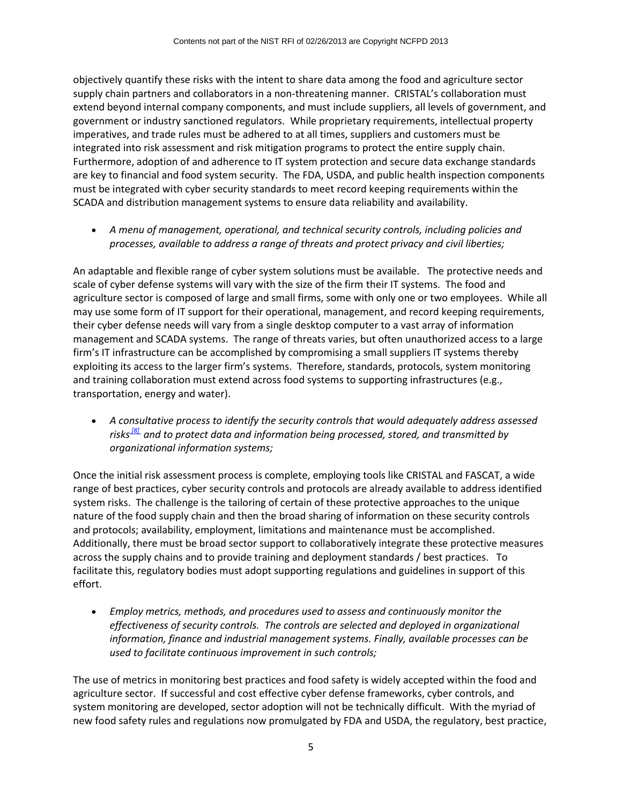objectively quantify these risks with the intent to share data among the food and agriculture sector supply chain partners and collaborators in a non-threatening manner. CRISTAL's collaboration must extend beyond internal company components, and must include suppliers, all levels of government, and government or industry sanctioned regulators. While proprietary requirements, intellectual property imperatives, and trade rules must be adhered to at all times, suppliers and customers must be integrated into risk assessment and risk mitigation programs to protect the entire supply chain. Furthermore, adoption of and adherence to IT system protection and secure data exchange standards are key to financial and food system security. The FDA, USDA, and public health inspection components must be integrated with cyber security standards to meet record keeping requirements within the SCADA and distribution management systems to ensure data reliability and availability.

 *A menu of management, operational, and technical security controls, including policies and processes, available to address a range of threats and protect privacy and civil liberties;*

An adaptable and flexible range of cyber system solutions must be available. The protective needs and scale of cyber defense systems will vary with the size of the firm their IT systems. The food and agriculture sector is composed of large and small firms, some with only one or two employees. While all may use some form of IT support for their operational, management, and record keeping requirements, their cyber defense needs will vary from a single desktop computer to a vast array of information management and SCADA systems. The range of threats varies, but often unauthorized access to a large firm's IT infrastructure can be accomplished by compromising a small suppliers IT systems thereby exploiting its access to the larger firm's systems. Therefore, standards, protocols, system monitoring and training collaboration must extend across food systems to supporting infrastructures (e.g., transportation, energy and water).

 *A consultative process to identify the security controls that would adequately address assessed risks[\[8\]](https://www.federalregister.gov/articles/2013/02/26/2013-04413/developing-a-framework-to-improve-critical-infrastructure-cybersecurity#footnote-8) and to protect data and information being processed, stored, and transmitted by organizational information systems;*

Once the initial risk assessment process is complete, employing tools like CRISTAL and FASCAT, a wide range of best practices, cyber security controls and protocols are already available to address identified system risks. The challenge is the tailoring of certain of these protective approaches to the unique nature of the food supply chain and then the broad sharing of information on these security controls and protocols; availability, employment, limitations and maintenance must be accomplished. Additionally, there must be broad sector support to collaboratively integrate these protective measures across the supply chains and to provide training and deployment standards / best practices. To facilitate this, regulatory bodies must adopt supporting regulations and guidelines in support of this effort.

 *Employ metrics, methods, and procedures used to assess and continuously monitor the effectiveness of security controls. The controls are selected and deployed in organizational information, finance and industrial management systems. Finally, available processes can be used to facilitate continuous improvement in such controls;*

The use of metrics in monitoring best practices and food safety is widely accepted within the food and agriculture sector. If successful and cost effective cyber defense frameworks, cyber controls, and system monitoring are developed, sector adoption will not be technically difficult. With the myriad of new food safety rules and regulations now promulgated by FDA and USDA, the regulatory, best practice,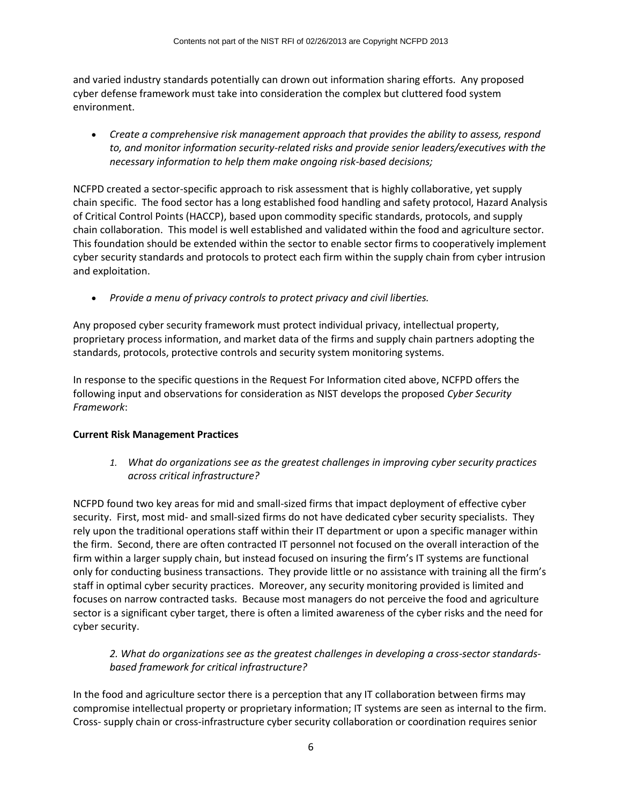and varied industry standards potentially can drown out information sharing efforts. Any proposed cyber defense framework must take into consideration the complex but cluttered food system environment.

 *Create a comprehensive risk management approach that provides the ability to assess, respond to, and monitor information security-related risks and provide senior leaders/executives with the necessary information to help them make ongoing risk-based decisions;*

NCFPD created a sector-specific approach to risk assessment that is highly collaborative, yet supply chain specific. The food sector has a long established food handling and safety protocol, Hazard Analysis of Critical Control Points (HACCP), based upon commodity specific standards, protocols, and supply chain collaboration. This model is well established and validated within the food and agriculture sector. This foundation should be extended within the sector to enable sector firms to cooperatively implement cyber security standards and protocols to protect each firm within the supply chain from cyber intrusion and exploitation.

*Provide a menu of privacy controls to protect privacy and civil liberties.*

Any proposed cyber security framework must protect individual privacy, intellectual property, proprietary process information, and market data of the firms and supply chain partners adopting the standards, protocols, protective controls and security system monitoring systems.

In response to the specific questions in the Request For Information cited above, NCFPD offers the following input and observations for consideration as NIST develops the proposed *Cyber Security Framework*:

## **Current Risk Management Practices**

*1. What do organizations see as the greatest challenges in improving cyber security practices across critical infrastructure?*

NCFPD found two key areas for mid and small-sized firms that impact deployment of effective cyber security. First, most mid- and small-sized firms do not have dedicated cyber security specialists. They rely upon the traditional operations staff within their IT department or upon a specific manager within the firm. Second, there are often contracted IT personnel not focused on the overall interaction of the firm within a larger supply chain, but instead focused on insuring the firm's IT systems are functional only for conducting business transactions. They provide little or no assistance with training all the firm's staff in optimal cyber security practices. Moreover, any security monitoring provided is limited and focuses on narrow contracted tasks. Because most managers do not perceive the food and agriculture sector is a significant cyber target, there is often a limited awareness of the cyber risks and the need for cyber security.

### *2. What do organizations see as the greatest challenges in developing a cross-sector standardsbased framework for critical infrastructure?*

In the food and agriculture sector there is a perception that any IT collaboration between firms may compromise intellectual property or proprietary information; IT systems are seen as internal to the firm. Cross- supply chain or cross-infrastructure cyber security collaboration or coordination requires senior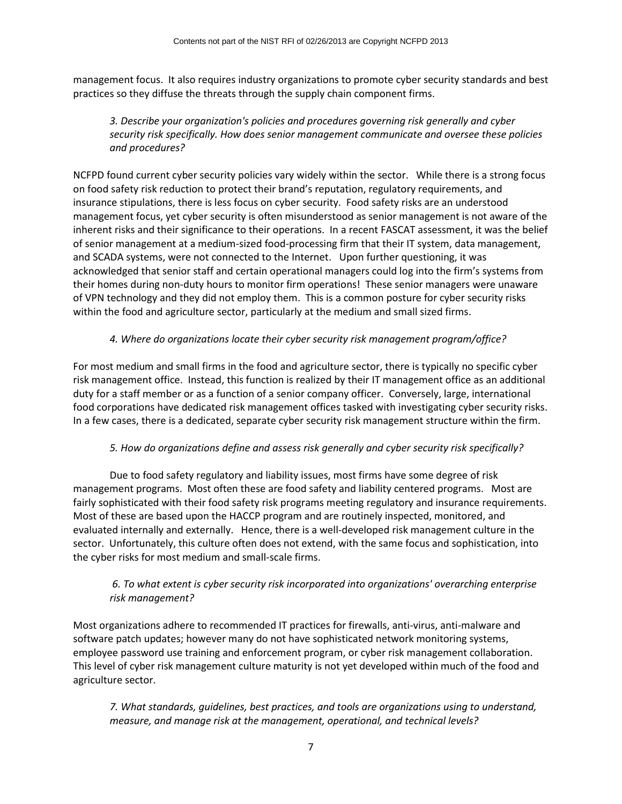management focus. It also requires industry organizations to promote cyber security standards and best practices so they diffuse the threats through the supply chain component firms.

*3. Describe your organization's policies and procedures governing risk generally and cyber security risk specifically. How does senior management communicate and oversee these policies and procedures?*

NCFPD found current cyber security policies vary widely within the sector. While there is a strong focus on food safety risk reduction to protect their brand's reputation, regulatory requirements, and insurance stipulations, there is less focus on cyber security. Food safety risks are an understood management focus, yet cyber security is often misunderstood as senior management is not aware of the inherent risks and their significance to their operations. In a recent FASCAT assessment, it was the belief of senior management at a medium-sized food-processing firm that their IT system, data management, and SCADA systems, were not connected to the Internet. Upon further questioning, it was acknowledged that senior staff and certain operational managers could log into the firm's systems from their homes during non-duty hours to monitor firm operations! These senior managers were unaware of VPN technology and they did not employ them. This is a common posture for cyber security risks within the food and agriculture sector, particularly at the medium and small sized firms.

### *4. Where do organizations locate their cyber security risk management program/office?*

For most medium and small firms in the food and agriculture sector, there is typically no specific cyber risk management office. Instead, this function is realized by their IT management office as an additional duty for a staff member or as a function of a senior company officer. Conversely, large, international food corporations have dedicated risk management offices tasked with investigating cyber security risks. In a few cases, there is a dedicated, separate cyber security risk management structure within the firm.

### *5. How do organizations define and assess risk generally and cyber security risk specifically?*

Due to food safety regulatory and liability issues, most firms have some degree of risk management programs. Most often these are food safety and liability centered programs. Most are fairly sophisticated with their food safety risk programs meeting regulatory and insurance requirements. Most of these are based upon the HACCP program and are routinely inspected, monitored, and evaluated internally and externally. Hence, there is a well-developed risk management culture in the sector. Unfortunately, this culture often does not extend, with the same focus and sophistication, into the cyber risks for most medium and small-scale firms.

### *6. To what extent is cyber security risk incorporated into organizations' overarching enterprise risk management?*

Most organizations adhere to recommended IT practices for firewalls, anti-virus, anti-malware and software patch updates; however many do not have sophisticated network monitoring systems, employee password use training and enforcement program, or cyber risk management collaboration. This level of cyber risk management culture maturity is not yet developed within much of the food and agriculture sector.

*7. What standards, guidelines, best practices, and tools are organizations using to understand, measure, and manage risk at the management, operational, and technical levels?*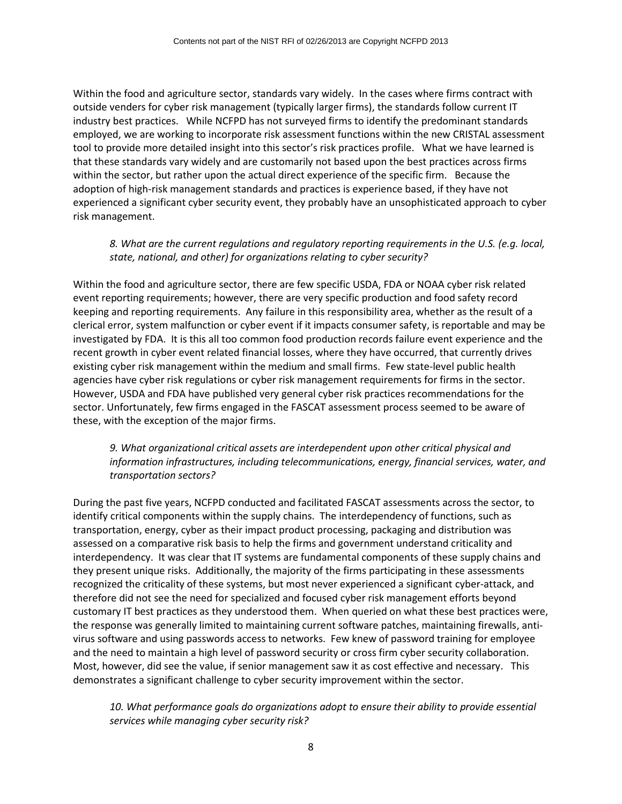Within the food and agriculture sector, standards vary widely. In the cases where firms contract with outside venders for cyber risk management (typically larger firms), the standards follow current IT industry best practices. While NCFPD has not surveyed firms to identify the predominant standards employed, we are working to incorporate risk assessment functions within the new CRISTAL assessment tool to provide more detailed insight into this sector's risk practices profile. What we have learned is that these standards vary widely and are customarily not based upon the best practices across firms within the sector, but rather upon the actual direct experience of the specific firm. Because the adoption of high-risk management standards and practices is experience based, if they have not experienced a significant cyber security event, they probably have an unsophisticated approach to cyber risk management.

### *8. What are the current regulations and regulatory reporting requirements in the U.S. (e.g. local, state, national, and other) for organizations relating to cyber security?*

Within the food and agriculture sector, there are few specific USDA, FDA or NOAA cyber risk related event reporting requirements; however, there are very specific production and food safety record keeping and reporting requirements. Any failure in this responsibility area, whether as the result of a clerical error, system malfunction or cyber event if it impacts consumer safety, is reportable and may be investigated by FDA. It is this all too common food production records failure event experience and the recent growth in cyber event related financial losses, where they have occurred, that currently drives existing cyber risk management within the medium and small firms. Few state-level public health agencies have cyber risk regulations or cyber risk management requirements for firms in the sector. However, USDA and FDA have published very general cyber risk practices recommendations for the sector. Unfortunately, few firms engaged in the FASCAT assessment process seemed to be aware of these, with the exception of the major firms.

### *9. What organizational critical assets are interdependent upon other critical physical and information infrastructures, including telecommunications, energy, financial services, water, and transportation sectors?*

During the past five years, NCFPD conducted and facilitated FASCAT assessments across the sector, to identify critical components within the supply chains. The interdependency of functions, such as transportation, energy, cyber as their impact product processing, packaging and distribution was assessed on a comparative risk basis to help the firms and government understand criticality and interdependency. It was clear that IT systems are fundamental components of these supply chains and they present unique risks. Additionally, the majority of the firms participating in these assessments recognized the criticality of these systems, but most never experienced a significant cyber-attack, and therefore did not see the need for specialized and focused cyber risk management efforts beyond customary IT best practices as they understood them. When queried on what these best practices were, the response was generally limited to maintaining current software patches, maintaining firewalls, antivirus software and using passwords access to networks. Few knew of password training for employee and the need to maintain a high level of password security or cross firm cyber security collaboration. Most, however, did see the value, if senior management saw it as cost effective and necessary. This demonstrates a significant challenge to cyber security improvement within the sector.

10. What performance goals do organizations adopt to ensure their ability to provide essential *services while managing cyber security risk?*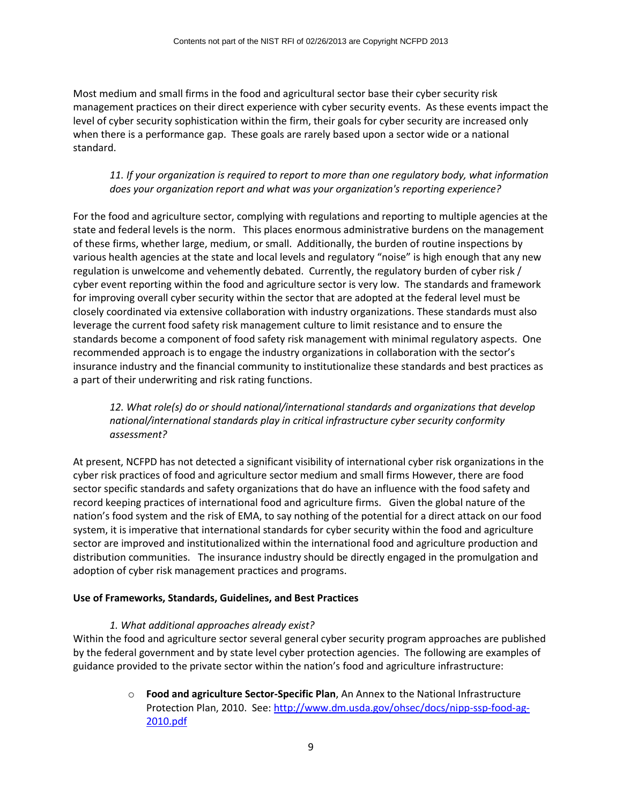Most medium and small firms in the food and agricultural sector base their cyber security risk management practices on their direct experience with cyber security events. As these events impact the level of cyber security sophistication within the firm, their goals for cyber security are increased only when there is a performance gap. These goals are rarely based upon a sector wide or a national standard.

### *11. If your organization is required to report to more than one regulatory body, what information does your organization report and what was your organization's reporting experience?*

For the food and agriculture sector, complying with regulations and reporting to multiple agencies at the state and federal levels is the norm. This places enormous administrative burdens on the management of these firms, whether large, medium, or small. Additionally, the burden of routine inspections by various health agencies at the state and local levels and regulatory "noise" is high enough that any new regulation is unwelcome and vehemently debated. Currently, the regulatory burden of cyber risk / cyber event reporting within the food and agriculture sector is very low. The standards and framework for improving overall cyber security within the sector that are adopted at the federal level must be closely coordinated via extensive collaboration with industry organizations. These standards must also leverage the current food safety risk management culture to limit resistance and to ensure the standards become a component of food safety risk management with minimal regulatory aspects. One recommended approach is to engage the industry organizations in collaboration with the sector's insurance industry and the financial community to institutionalize these standards and best practices as a part of their underwriting and risk rating functions.

### *12. What role(s) do or should national/international standards and organizations that develop national/international standards play in critical infrastructure cyber security conformity assessment?*

At present, NCFPD has not detected a significant visibility of international cyber risk organizations in the cyber risk practices of food and agriculture sector medium and small firms However, there are food sector specific standards and safety organizations that do have an influence with the food safety and record keeping practices of international food and agriculture firms. Given the global nature of the nation's food system and the risk of EMA, to say nothing of the potential for a direct attack on our food system, it is imperative that international standards for cyber security within the food and agriculture sector are improved and institutionalized within the international food and agriculture production and distribution communities. The insurance industry should be directly engaged in the promulgation and adoption of cyber risk management practices and programs.

### **Use of Frameworks, Standards, Guidelines, and Best Practices**

#### *1. What additional approaches already exist?*

Within the food and agriculture sector several general cyber security program approaches are published by the federal government and by state level cyber protection agencies. The following are examples of guidance provided to the private sector within the nation's food and agriculture infrastructure:

> o **Food and agriculture Sector-Specific Plan**, An Annex to the National Infrastructure Protection Plan, 2010. See: [http://www.dm.usda.gov/ohsec/docs/nipp-ssp-food-ag-](http://www.dm.usda.gov/ohsec/docs/nipp-ssp-food-ag-2010.pdf)[2010.pdf](http://www.dm.usda.gov/ohsec/docs/nipp-ssp-food-ag-2010.pdf)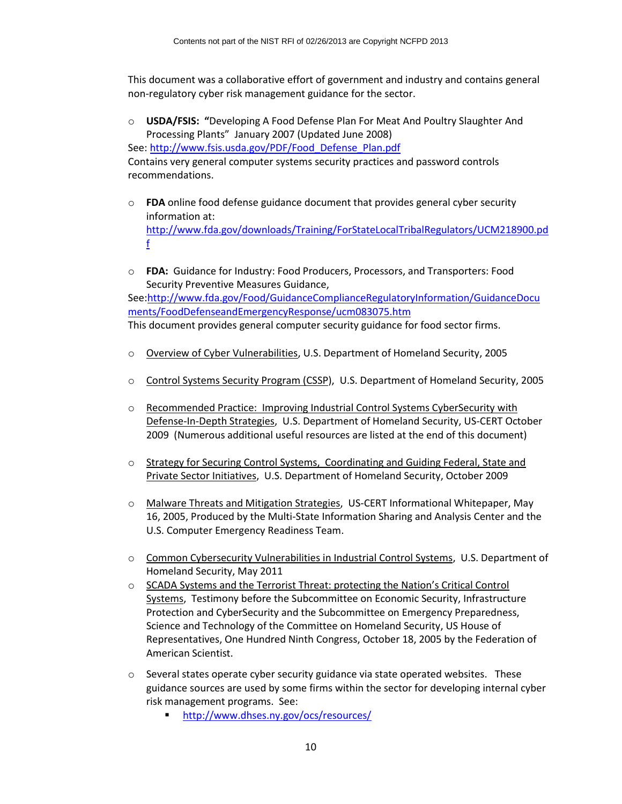This document was a collaborative effort of government and industry and contains general non-regulatory cyber risk management guidance for the sector.

o **USDA/FSIS: "**Developing A Food Defense Plan For Meat And Poultry Slaughter And Processing Plants" January 2007 (Updated June 2008)

See[: http://www.fsis.usda.gov/PDF/Food\\_Defense\\_Plan.pdf](http://www.fsis.usda.gov/PDF/Food_Defense_Plan.pdf)  Contains very general computer systems security practices and password controls recommendations.

- o **FDA** online food defense guidance document that provides general cyber security information at: [http://www.fda.gov/downloads/Training/ForStateLocalTribalRegulators/UCM218900.pd](http://www.fda.gov/downloads/Training/ForStateLocalTribalRegulators/UCM218900.pdf) [f](http://www.fda.gov/downloads/Training/ForStateLocalTribalRegulators/UCM218900.pdf)
- o **FDA:** Guidance for Industry: Food Producers, Processors, and Transporters: Food Security Preventive Measures Guidance,

See[:http://www.fda.gov/Food/GuidanceComplianceRegulatoryInformation/GuidanceDocu](http://www.fda.gov/Food/GuidanceComplianceRegulatoryInformation/GuidanceDocuments/FoodDefenseandEmergencyResponse/ucm083075.htm) [ments/FoodDefenseandEmergencyResponse/ucm083075.htm](http://www.fda.gov/Food/GuidanceComplianceRegulatoryInformation/GuidanceDocuments/FoodDefenseandEmergencyResponse/ucm083075.htm)  This document provides general computer security guidance for food sector firms.

- o Overview of Cyber Vulnerabilities, U.S. Department of Homeland Security, 2005
- o Control Systems Security Program (CSSP), U.S. Department of Homeland Security, 2005
- o Recommended Practice: Improving Industrial Control Systems CyberSecurity with Defense-In-Depth Strategies, U.S. Department of Homeland Security, US-CERT October 2009 (Numerous additional useful resources are listed at the end of this document)
- o Strategy for Securing Control Systems, Coordinating and Guiding Federal, State and Private Sector Initiatives, U.S. Department of Homeland Security, October 2009
- o Malware Threats and Mitigation Strategies, US-CERT Informational Whitepaper, May 16, 2005, Produced by the Multi-State Information Sharing and Analysis Center and the U.S. Computer Emergency Readiness Team.
- o Common Cybersecurity Vulnerabilities in Industrial Control Systems, U.S. Department of Homeland Security, May 2011
- o SCADA Systems and the Terrorist Threat: protecting the Nation's Critical Control Systems, Testimony before the Subcommittee on Economic Security, Infrastructure Protection and CyberSecurity and the Subcommittee on Emergency Preparedness, Science and Technology of the Committee on Homeland Security, US House of Representatives, One Hundred Ninth Congress, October 18, 2005 by the Federation of American Scientist.
- $\circ$  Several states operate cyber security guidance via state operated websites. These guidance sources are used by some firms within the sector for developing internal cyber risk management programs. See:
	- <http://www.dhses.ny.gov/ocs/resources/>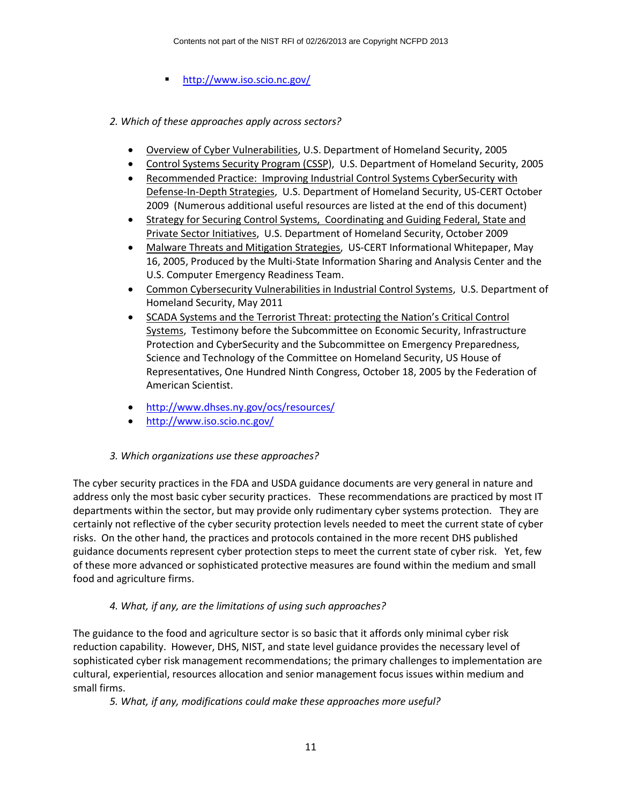- <http://www.iso.scio.nc.gov/>
- *2. Which of these approaches apply across sectors?*
	- Overview of Cyber Vulnerabilities, U.S. Department of Homeland Security, 2005
	- Control Systems Security Program (CSSP), U.S. Department of Homeland Security, 2005
	- Recommended Practice: Improving Industrial Control Systems CyberSecurity with Defense-In-Depth Strategies, U.S. Department of Homeland Security, US-CERT October 2009 (Numerous additional useful resources are listed at the end of this document)
	- Strategy for Securing Control Systems, Coordinating and Guiding Federal, State and Private Sector Initiatives, U.S. Department of Homeland Security, October 2009
	- Malware Threats and Mitigation Strategies, US-CERT Informational Whitepaper, May 16, 2005, Produced by the Multi-State Information Sharing and Analysis Center and the U.S. Computer Emergency Readiness Team.
	- Common Cybersecurity Vulnerabilities in Industrial Control Systems, U.S. Department of Homeland Security, May 2011
	- SCADA Systems and the Terrorist Threat: protecting the Nation's Critical Control Systems, Testimony before the Subcommittee on Economic Security, Infrastructure Protection and CyberSecurity and the Subcommittee on Emergency Preparedness, Science and Technology of the Committee on Homeland Security, US House of Representatives, One Hundred Ninth Congress, October 18, 2005 by the Federation of American Scientist.
	- <http://www.dhses.ny.gov/ocs/resources/>
	- <http://www.iso.scio.nc.gov/>

### *3. Which organizations use these approaches?*

The cyber security practices in the FDA and USDA guidance documents are very general in nature and address only the most basic cyber security practices. These recommendations are practiced by most IT departments within the sector, but may provide only rudimentary cyber systems protection. They are certainly not reflective of the cyber security protection levels needed to meet the current state of cyber risks. On the other hand, the practices and protocols contained in the more recent DHS published guidance documents represent cyber protection steps to meet the current state of cyber risk. Yet, few of these more advanced or sophisticated protective measures are found within the medium and small food and agriculture firms.

## *4. What, if any, are the limitations of using such approaches?*

The guidance to the food and agriculture sector is so basic that it affords only minimal cyber risk reduction capability. However, DHS, NIST, and state level guidance provides the necessary level of sophisticated cyber risk management recommendations; the primary challenges to implementation are cultural, experiential, resources allocation and senior management focus issues within medium and small firms.

*5. What, if any, modifications could make these approaches more useful?*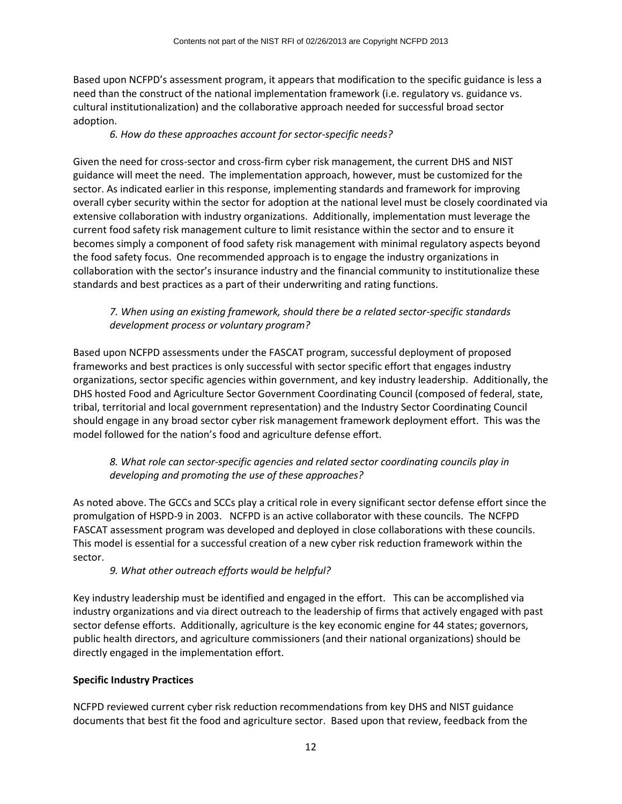Based upon NCFPD's assessment program, it appears that modification to the specific guidance is less a need than the construct of the national implementation framework (i.e. regulatory vs. guidance vs. cultural institutionalization) and the collaborative approach needed for successful broad sector adoption.

### *6. How do these approaches account for sector-specific needs?*

Given the need for cross-sector and cross-firm cyber risk management, the current DHS and NIST guidance will meet the need. The implementation approach, however, must be customized for the sector. As indicated earlier in this response, implementing standards and framework for improving overall cyber security within the sector for adoption at the national level must be closely coordinated via extensive collaboration with industry organizations. Additionally, implementation must leverage the current food safety risk management culture to limit resistance within the sector and to ensure it becomes simply a component of food safety risk management with minimal regulatory aspects beyond the food safety focus. One recommended approach is to engage the industry organizations in collaboration with the sector's insurance industry and the financial community to institutionalize these standards and best practices as a part of their underwriting and rating functions.

### *7. When using an existing framework, should there be a related sector-specific standards development process or voluntary program?*

Based upon NCFPD assessments under the FASCAT program, successful deployment of proposed frameworks and best practices is only successful with sector specific effort that engages industry organizations, sector specific agencies within government, and key industry leadership. Additionally, the DHS hosted Food and Agriculture Sector Government Coordinating Council (composed of federal, state, tribal, territorial and local government representation) and the Industry Sector Coordinating Council should engage in any broad sector cyber risk management framework deployment effort. This was the model followed for the nation's food and agriculture defense effort.

### *8. What role can sector-specific agencies and related sector coordinating councils play in developing and promoting the use of these approaches?*

As noted above. The GCCs and SCCs play a critical role in every significant sector defense effort since the promulgation of HSPD-9 in 2003. NCFPD is an active collaborator with these councils. The NCFPD FASCAT assessment program was developed and deployed in close collaborations with these councils. This model is essential for a successful creation of a new cyber risk reduction framework within the sector.

*9. What other outreach efforts would be helpful?*

Key industry leadership must be identified and engaged in the effort. This can be accomplished via industry organizations and via direct outreach to the leadership of firms that actively engaged with past sector defense efforts. Additionally, agriculture is the key economic engine for 44 states; governors, public health directors, and agriculture commissioners (and their national organizations) should be directly engaged in the implementation effort.

### **Specific Industry Practices**

NCFPD reviewed current cyber risk reduction recommendations from key DHS and NIST guidance documents that best fit the food and agriculture sector. Based upon that review, feedback from the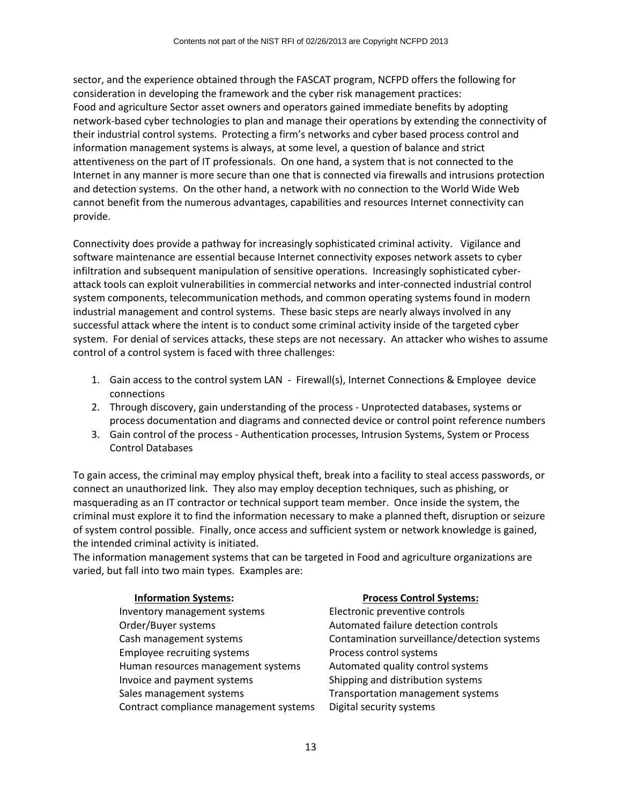sector, and the experience obtained through the FASCAT program, NCFPD offers the following for consideration in developing the framework and the cyber risk management practices: Food and agriculture Sector asset owners and operators gained immediate benefits by adopting network-based cyber technologies to plan and manage their operations by extending the connectivity of their industrial control systems. Protecting a firm's networks and cyber based process control and information management systems is always, at some level, a question of balance and strict attentiveness on the part of IT professionals. On one hand, a system that is not connected to the Internet in any manner is more secure than one that is connected via firewalls and intrusions protection and detection systems. On the other hand, a network with no connection to the World Wide Web cannot benefit from the numerous advantages, capabilities and resources Internet connectivity can provide.

Connectivity does provide a pathway for increasingly sophisticated criminal activity. Vigilance and software maintenance are essential because Internet connectivity exposes network assets to cyber infiltration and subsequent manipulation of sensitive operations. Increasingly sophisticated cyberattack tools can exploit vulnerabilities in commercial networks and inter-connected industrial control system components, telecommunication methods, and common operating systems found in modern industrial management and control systems. These basic steps are nearly always involved in any successful attack where the intent is to conduct some criminal activity inside of the targeted cyber system. For denial of services attacks, these steps are not necessary. An attacker who wishes to assume control of a control system is faced with three challenges:

- 1. Gain access to the control system LAN Firewall(s), Internet Connections & Employee device connections
- 2. Through discovery, gain understanding of the process Unprotected databases, systems or process documentation and diagrams and connected device or control point reference numbers
- 3. Gain control of the process Authentication processes, Intrusion Systems, System or Process Control Databases

To gain access, the criminal may employ physical theft, break into a facility to steal access passwords, or connect an unauthorized link. They also may employ deception techniques, such as phishing, or masquerading as an IT contractor or technical support team member. Once inside the system, the criminal must explore it to find the information necessary to make a planned theft, disruption or seizure of system control possible. Finally, once access and sufficient system or network knowledge is gained, the intended criminal activity is initiated.

The information management systems that can be targeted in Food and agriculture organizations are varied, but fall into two main types. Examples are:

| <b>Information Systems:</b>            | <b>Process Control Systems:</b>              |
|----------------------------------------|----------------------------------------------|
| Inventory management systems           | Electronic preventive controls               |
| Order/Buyer systems                    | Automated failure detection controls         |
| Cash management systems                | Contamination surveillance/detection systems |
| Employee recruiting systems            | Process control systems                      |
| Human resources management systems     | Automated quality control systems            |
| Invoice and payment systems            | Shipping and distribution systems            |
| Sales management systems               | Transportation management systems            |
| Contract compliance management systems | Digital security systems                     |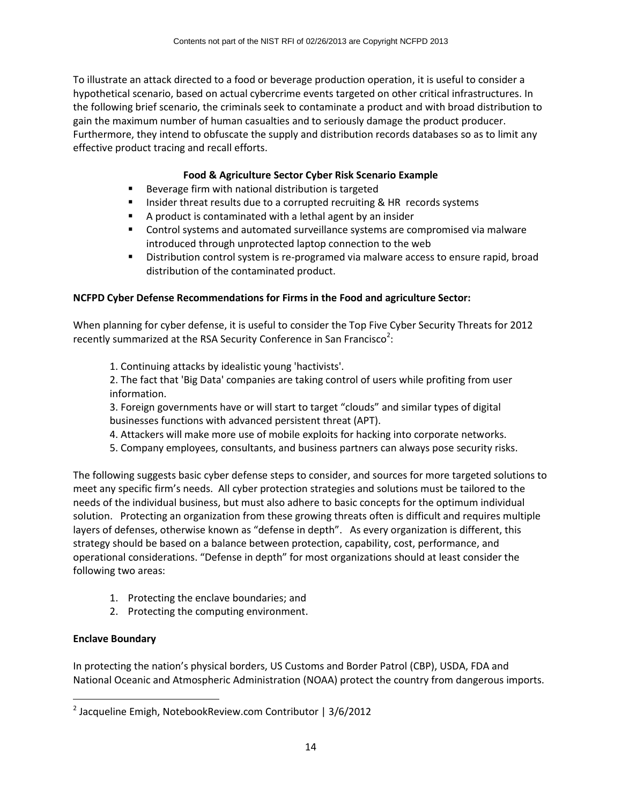To illustrate an attack directed to a food or beverage production operation, it is useful to consider a hypothetical scenario, based on actual cybercrime events targeted on other critical infrastructures. In the following brief scenario, the criminals seek to contaminate a product and with broad distribution to gain the maximum number of human casualties and to seriously damage the product producer. Furthermore, they intend to obfuscate the supply and distribution records databases so as to limit any effective product tracing and recall efforts.

### **Food & Agriculture Sector Cyber Risk Scenario Example**

- **Beverage firm with national distribution is targeted**
- **Insider threat results due to a corrupted recruiting & HR records systems**
- A product is contaminated with a lethal agent by an insider
- Control systems and automated surveillance systems are compromised via malware introduced through unprotected laptop connection to the web
- **Distribution control system is re-programed via malware access to ensure rapid, broad** distribution of the contaminated product.

### **NCFPD Cyber Defense Recommendations for Firms in the Food and agriculture Sector:**

When planning for cyber defense, it is useful to consider the Top Five Cyber Security Threats for 2012 recently summarized at the RSA Security Conference in San Francisco<sup>2</sup>:

1. Continuing attacks by idealistic young 'hactivists'.

2. The fact that 'Big Data' companies are taking control of users while profiting from user information.

3. Foreign governments have or will start to target "clouds" and similar types of digital businesses functions with advanced persistent threat (APT).

- 4. Attackers will make more use of mobile exploits for hacking into corporate networks.
- 5. Company employees, consultants, and business partners can always pose security risks.

The following suggests basic cyber defense steps to consider, and sources for more targeted solutions to meet any specific firm's needs. All cyber protection strategies and solutions must be tailored to the needs of the individual business, but must also adhere to basic concepts for the optimum individual solution. Protecting an organization from these growing threats often is difficult and requires multiple layers of defenses, otherwise known as "defense in depth". As every organization is different, this strategy should be based on a balance between protection, capability, cost, performance, and operational considerations. "Defense in depth" for most organizations should at least consider the following two areas:

- 1. Protecting the enclave boundaries; and
- 2. Protecting the computing environment.

### **Enclave Boundary**

 $\overline{\phantom{a}}$ 

In protecting the nation's physical borders, US Customs and Border Patrol (CBP), USDA, FDA and National Oceanic and Atmospheric Administration (NOAA) protect the country from dangerous imports.

<sup>&</sup>lt;sup>2</sup> [Jacqueline Emigh,](http://forum.notebookreview.com/search.php?do=process&showposts=0&starteronly=1&exactname=1&searchuser=Jacqueline%20Emigh) NotebookReview.com Contributor | 3/6/2012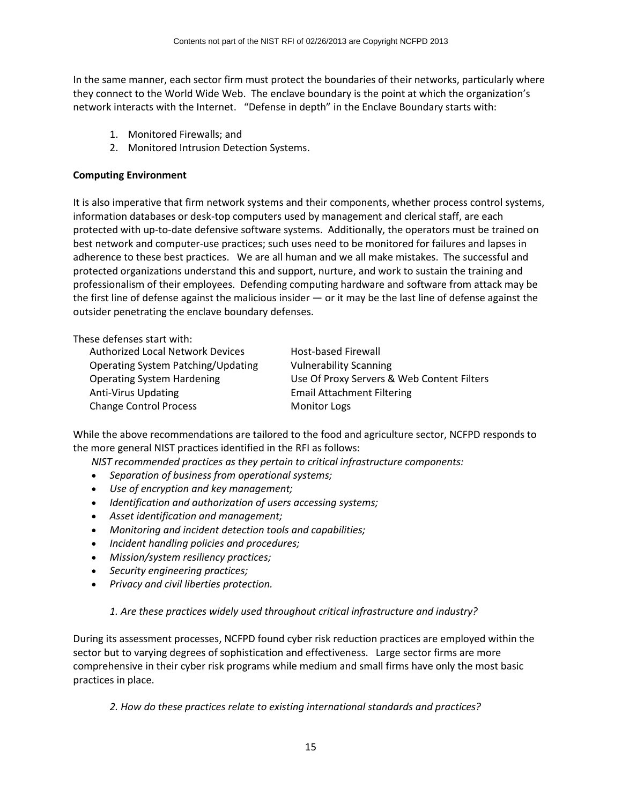In the same manner, each sector firm must protect the boundaries of their networks, particularly where they connect to the World Wide Web. The enclave boundary is the point at which the organization's network interacts with the Internet. "Defense in depth" in the Enclave Boundary starts with:

- 1. Monitored Firewalls; and
- 2. Monitored Intrusion Detection Systems.

#### **Computing Environment**

It is also imperative that firm network systems and their components, whether process control systems, information databases or desk-top computers used by management and clerical staff, are each protected with up-to-date defensive software systems. Additionally, the operators must be trained on best network and computer-use practices; such uses need to be monitored for failures and lapses in adherence to these best practices. We are all human and we all make mistakes. The successful and protected organizations understand this and support, nurture, and work to sustain the training and professionalism of their employees. Defending computing hardware and software from attack may be the first line of defense against the malicious insider — or it may be the last line of defense against the outsider penetrating the enclave boundary defenses.

These defenses start with:

Authorized Local Network Devices Operating System Patching/Updating Operating System Hardening Anti-Virus Updating Change Control Process

Host-based Firewall Vulnerability Scanning Use Of Proxy Servers & Web Content Filters Email Attachment Filtering Monitor Logs

While the above recommendations are tailored to the food and agriculture sector, NCFPD responds to the more general NIST practices identified in the RFI as follows:

*NIST recommended practices as they pertain to critical infrastructure components:*

- *Separation of business from operational systems;*
- *Use of encryption and key management;*
- *Identification and authorization of users accessing systems;*
- *Asset identification and management;*
- *Monitoring and incident detection tools and capabilities;*
- *Incident handling policies and procedures;*
- *Mission/system resiliency practices;*
- *Security engineering practices;*
- *Privacy and civil liberties protection.*

## *1. Are these practices widely used throughout critical infrastructure and industry?*

During its assessment processes, NCFPD found cyber risk reduction practices are employed within the sector but to varying degrees of sophistication and effectiveness. Large sector firms are more comprehensive in their cyber risk programs while medium and small firms have only the most basic practices in place.

*2. How do these practices relate to existing international standards and practices?*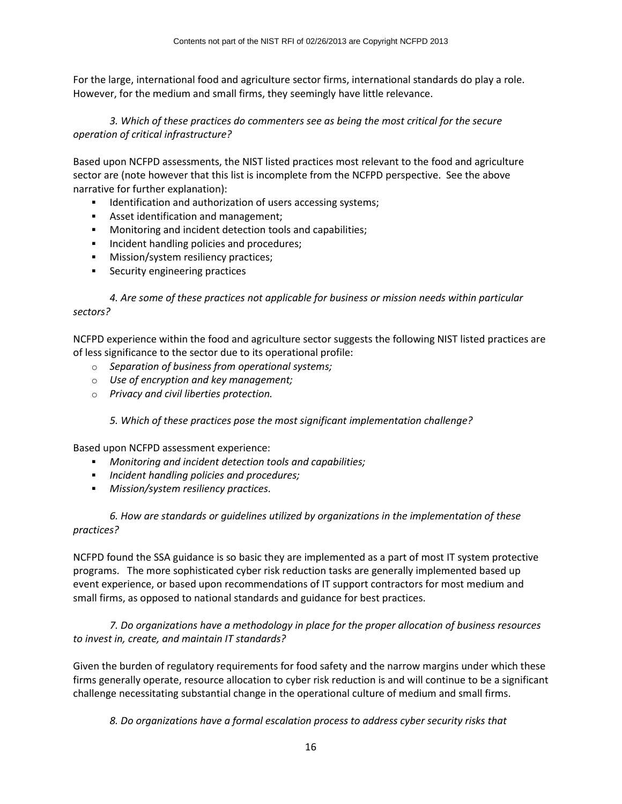For the large, international food and agriculture sector firms, international standards do play a role. However, for the medium and small firms, they seemingly have little relevance.

*3. Which of these practices do commenters see as being the most critical for the secure operation of critical infrastructure?*

Based upon NCFPD assessments, the NIST listed practices most relevant to the food and agriculture sector are (note however that this list is incomplete from the NCFPD perspective. See the above narrative for further explanation):

- Identification and authorization of users accessing systems;
- **Asset identification and management;**
- **Monitoring and incident detection tools and capabilities;**
- **Incident handling policies and procedures;**
- **Mission/system resiliency practices;**
- **Security engineering practices**

*4. Are some of these practices not applicable for business or mission needs within particular sectors?*

NCFPD experience within the food and agriculture sector suggests the following NIST listed practices are of less significance to the sector due to its operational profile:

- o *Separation of business from operational systems;*
- o *Use of encryption and key management;*
- o *Privacy and civil liberties protection.*

*5. Which of these practices pose the most significant implementation challenge?*

Based upon NCFPD assessment experience:

- *Monitoring and incident detection tools and capabilities;*
- *Incident handling policies and procedures;*
- *Mission/system resiliency practices.*

*6. How are standards or guidelines utilized by organizations in the implementation of these practices?*

NCFPD found the SSA guidance is so basic they are implemented as a part of most IT system protective programs. The more sophisticated cyber risk reduction tasks are generally implemented based up event experience, or based upon recommendations of IT support contractors for most medium and small firms, as opposed to national standards and guidance for best practices.

*7. Do organizations have a methodology in place for the proper allocation of business resources to invest in, create, and maintain IT standards?*

Given the burden of regulatory requirements for food safety and the narrow margins under which these firms generally operate, resource allocation to cyber risk reduction is and will continue to be a significant challenge necessitating substantial change in the operational culture of medium and small firms.

*8. Do organizations have a formal escalation process to address cyber security risks that*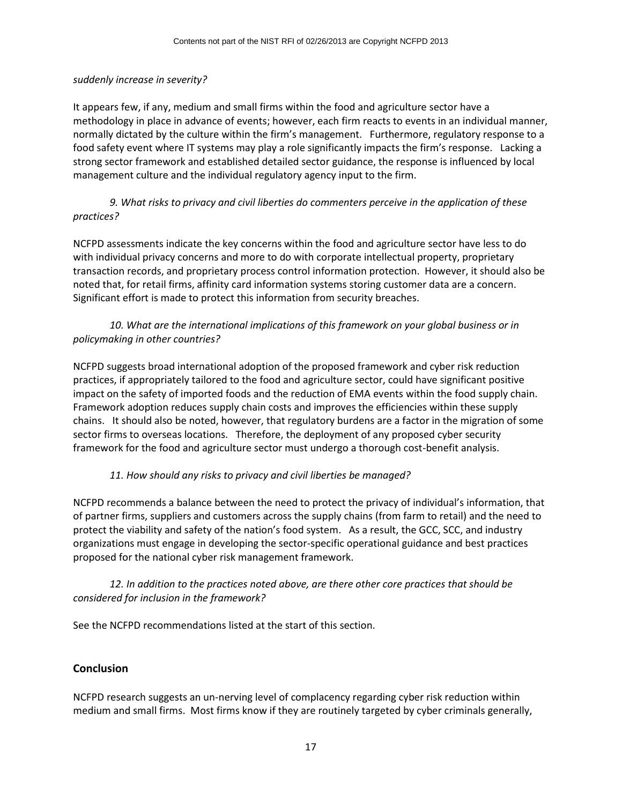#### *suddenly increase in severity?*

It appears few, if any, medium and small firms within the food and agriculture sector have a methodology in place in advance of events; however, each firm reacts to events in an individual manner, normally dictated by the culture within the firm's management. Furthermore, regulatory response to a food safety event where IT systems may play a role significantly impacts the firm's response. Lacking a strong sector framework and established detailed sector guidance, the response is influenced by local management culture and the individual regulatory agency input to the firm.

*9. What risks to privacy and civil liberties do commenters perceive in the application of these practices?*

NCFPD assessments indicate the key concerns within the food and agriculture sector have less to do with individual privacy concerns and more to do with corporate intellectual property, proprietary transaction records, and proprietary process control information protection. However, it should also be noted that, for retail firms, affinity card information systems storing customer data are a concern. Significant effort is made to protect this information from security breaches.

### *10. What are the international implications of this framework on your global business or in policymaking in other countries?*

NCFPD suggests broad international adoption of the proposed framework and cyber risk reduction practices, if appropriately tailored to the food and agriculture sector, could have significant positive impact on the safety of imported foods and the reduction of EMA events within the food supply chain. Framework adoption reduces supply chain costs and improves the efficiencies within these supply chains. It should also be noted, however, that regulatory burdens are a factor in the migration of some sector firms to overseas locations. Therefore, the deployment of any proposed cyber security framework for the food and agriculture sector must undergo a thorough cost-benefit analysis.

### *11. How should any risks to privacy and civil liberties be managed?*

NCFPD recommends a balance between the need to protect the privacy of individual's information, that of partner firms, suppliers and customers across the supply chains (from farm to retail) and the need to protect the viability and safety of the nation's food system. As a result, the GCC, SCC, and industry organizations must engage in developing the sector-specific operational guidance and best practices proposed for the national cyber risk management framework.

### *12. In addition to the practices noted above, are there other core practices that should be considered for inclusion in the framework?*

See the NCFPD recommendations listed at the start of this section.

## **Conclusion**

NCFPD research suggests an un-nerving level of complacency regarding cyber risk reduction within medium and small firms. Most firms know if they are routinely targeted by cyber criminals generally,